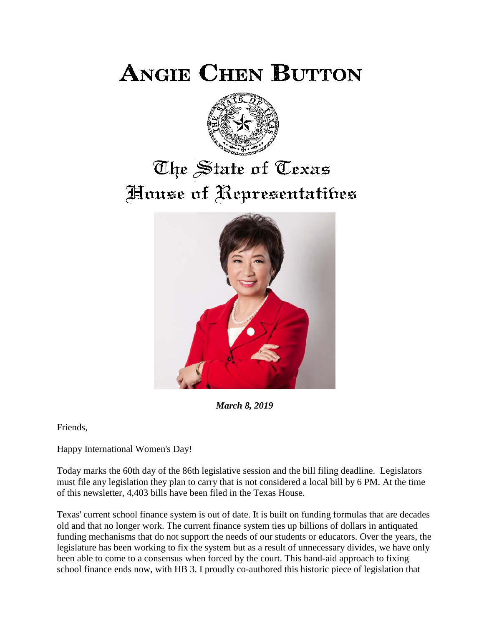**ANGIE CHEN BUTTON** 



# The State of Texas House of Representatibes



*March 8, 2019*

Friends,

Happy International Women's Day!

Today marks the 60th day of the 86th legislative session and the bill filing deadline. Legislators must file any legislation they plan to carry that is not considered a local bill by 6 PM. At the time of this newsletter, 4,403 bills have been filed in the Texas House.

Texas' current school finance system is out of date. It is built on funding formulas that are decades old and that no longer work. The current finance system ties up billions of dollars in antiquated funding mechanisms that do not support the needs of our students or educators. Over the years, the legislature has been working to fix the system but as a result of unnecessary divides, we have only been able to come to a consensus when forced by the court. This band-aid approach to fixing school finance ends now, with HB 3. I proudly co-authored this historic piece of legislation that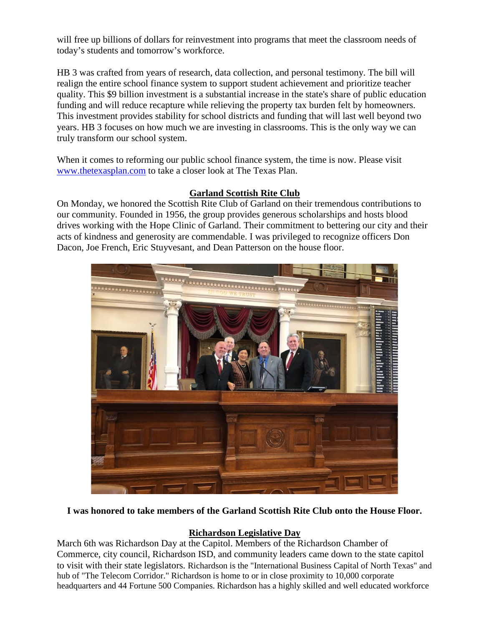will free up billions of dollars for reinvestment into programs that meet the classroom needs of today's students and tomorrow's workforce.

HB 3 was crafted from years of research, data collection, and personal testimony. The bill will realign the entire school finance system to support student achievement and prioritize teacher quality. This \$9 billion investment is a substantial increase in the state's share of public education funding and will reduce recapture while relieving the property tax burden felt by homeowners. This investment provides stability for school districts and funding that will last well beyond two years. HB 3 focuses on how much we are investing in classrooms. This is the only way we can truly transform our school system.

When it comes to reforming our public school finance system, the time is now. Please visit [www.thetexasplan.com](http://www.thetexasplan.com/) to take a closer look at The Texas Plan.

## **Garland Scottish Rite Club**

On Monday, we honored the Scottish Rite Club of Garland on their tremendous contributions to our community. Founded in 1956, the group provides generous scholarships and hosts blood drives working with the Hope Clinic of Garland. Their commitment to bettering our city and their acts of kindness and generosity are commendable. I was privileged to recognize officers Don Dacon, Joe French, Eric Stuyvesant, and Dean Patterson on the house floor.



## **I was honored to take members of the Garland Scottish Rite Club onto the House Floor.**

## **Richardson Legislative Day**

March 6th was Richardson Day at the Capitol. Members of the Richardson Chamber of Commerce, city council, Richardson ISD, and community leaders came down to the state capitol to visit with their state legislators. Richardson is the "International Business Capital of North Texas" and hub of "The Telecom Corridor." Richardson is home to or in close proximity to 10,000 corporate headquarters and 44 Fortune 500 Companies. Richardson has a highly skilled and well educated workforce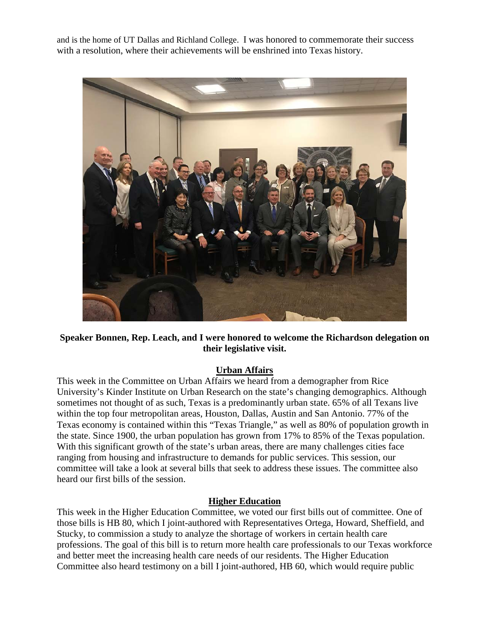and is the home of UT Dallas and Richland College. I was honored to commemorate their success with a resolution, where their achievements will be enshrined into Texas history.



**Speaker Bonnen, Rep. Leach, and I were honored to welcome the Richardson delegation on their legislative visit.**

## **Urban Affairs**

This week in the Committee on Urban Affairs we heard from a demographer from Rice University's Kinder Institute on Urban Research on the state's changing demographics. Although sometimes not thought of as such, Texas is a predominantly urban state. 65% of all Texans live within the top four metropolitan areas, Houston, Dallas, Austin and San Antonio. 77% of the Texas economy is contained within this "Texas Triangle," as well as 80% of population growth in the state. Since 1900, the urban population has grown from 17% to 85% of the Texas population. With this significant growth of the state's urban areas, there are many challenges cities face ranging from housing and infrastructure to demands for public services. This session, our committee will take a look at several bills that seek to address these issues. The committee also heard our first bills of the session.

### **Higher Education**

This week in the Higher Education Committee, we voted our first bills out of committee. One of those bills is HB 80, which I joint-authored with Representatives Ortega, Howard, Sheffield, and Stucky, to commission a study to analyze the shortage of workers in certain health care professions. The goal of this bill is to return more health care professionals to our Texas workforce and better meet the increasing health care needs of our residents. The Higher Education Committee also heard testimony on a bill I joint-authored, HB 60, which would require public